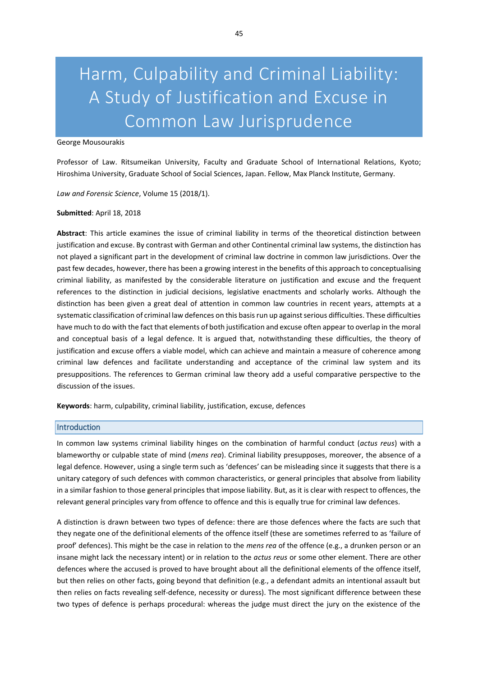# Harm, Culpability and Criminal Liability: A Study of Justification and Excuse in Common Law Jurisprudence

George Mousourakis

Professor of Law. Ritsumeikan University, Faculty and Graduate School of International Relations, Kyoto; Hiroshima University, Graduate School of Social Sciences, Japan. Fellow, Max Planck Institute, Germany.

*Law and Forensic Science*, Volume 15 (2018/1).

#### **Submitted**: April 18, 2018

**Abstract**: This article examines the issue of criminal liability in terms of the theoretical distinction between justification and excuse. By contrast with German and other Continental criminal law systems, the distinction has not played a significant part in the development of criminal law doctrine in common law jurisdictions. Over the past few decades, however, there has been a growing interest in the benefits of this approach to conceptualising criminal liability, as manifested by the considerable literature on justification and excuse and the frequent references to the distinction in judicial decisions, legislative enactments and scholarly works. Although the distinction has been given a great deal of attention in common law countries in recent years, attempts at a systematic classification of criminal law defences on this basis run up against serious difficulties. These difficulties have much to do with the fact that elements of both justification and excuse often appear to overlap in the moral and conceptual basis of a legal defence. It is argued that, notwithstanding these difficulties, the theory of justification and excuse offers a viable model, which can achieve and maintain a measure of coherence among criminal law defences and facilitate understanding and acceptance of the criminal law system and its presuppositions. The references to German criminal law theory add a useful comparative perspective to the discussion of the issues.

**Keywords**: harm, culpability, criminal liability, justification, excuse, defences

# **Introduction**

In common law systems criminal liability hinges on the combination of harmful conduct (*actus reus*) with a blameworthy or culpable state of mind (*mens rea*). Criminal liability presupposes, moreover, the absence of a legal defence. However, using a single term such as 'defences' can be misleading since it suggests that there is a unitary category of such defences with common characteristics, or general principles that absolve from liability in a similar fashion to those general principles that impose liability. But, as it is clear with respect to offences, the relevant general principles vary from offence to offence and this is equally true for criminal law defences.

A distinction is drawn between two types of defence: there are those defences where the facts are such that they negate one of the definitional elements of the offence itself (these are sometimes referred to as 'failure of proof' defences). This might be the case in relation to the *mens rea* of the offence (e.g., a drunken person or an insane might lack the necessary intent) or in relation to the *actus reus* or some other element. There are other defences where the accused is proved to have brought about all the definitional elements of the offence itself, but then relies on other facts, going beyond that definition (e.g., a defendant admits an intentional assault but then relies on facts revealing self-defence, necessity or duress). The most significant difference between these two types of defence is perhaps procedural: whereas the judge must direct the jury on the existence of the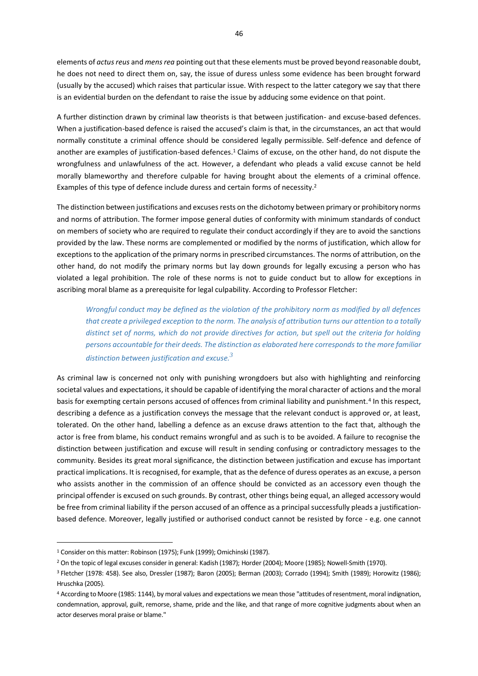elements of *actus reus* and *mens rea* pointing out that these elements must be proved beyond reasonable doubt, he does not need to direct them on, say, the issue of duress unless some evidence has been brought forward (usually by the accused) which raises that particular issue. With respect to the latter category we say that there is an evidential burden on the defendant to raise the issue by adducing some evidence on that point.

A further distinction drawn by criminal law theorists is that between justification- and excuse-based defences. When a justification-based defence is raised the accused's claim is that, in the circumstances, an act that would normally constitute a criminal offence should be considered legally permissible. Self-defence and defence of another are examples of justification-based defences.<sup>1</sup> Claims of excuse, on the other hand, do not dispute the wrongfulness and unlawfulness of the act. However, a defendant who pleads a valid excuse cannot be held morally blameworthy and therefore culpable for having brought about the elements of a criminal offence. Examples of this type of defence include duress and certain forms of necessity.<sup>2</sup>

The distinction between justifications and excuses rests on the dichotomy between primary or prohibitory norms and norms of attribution. The former impose general duties of conformity with minimum standards of conduct on members of society who are required to regulate their conduct accordingly if they are to avoid the sanctions provided by the law. These norms are complemented or modified by the norms of justification, which allow for exceptions to the application of the primary norms in prescribed circumstances. The norms of attribution, on the other hand, do not modify the primary norms but lay down grounds for legally excusing a person who has violated a legal prohibition. The role of these norms is not to guide conduct but to allow for exceptions in ascribing moral blame as a prerequisite for legal culpability. According to Professor Fletcher:

*Wrongful conduct may be defined as the violation of the prohibitory norm as modified by all defences that create a privileged exception to the norm. The analysis of attribution turns our attention to a totally distinct set of norms, which do not provide directives for action, but spell out the criteria for holding persons accountable for their deeds. The distinction as elaborated here corresponds to the more familiar distinction between justification and excuse.<sup>3</sup>*

As criminal law is concerned not only with punishing wrongdoers but also with highlighting and reinforcing societal values and expectations, it should be capable of identifying the moral character of actions and the moral basis for exempting certain persons accused of offences from criminal liability and punishment.<sup>4</sup> In this respect, describing a defence as a justification conveys the message that the relevant conduct is approved or, at least, tolerated. On the other hand, labelling a defence as an excuse draws attention to the fact that, although the actor is free from blame, his conduct remains wrongful and as such is to be avoided. A failure to recognise the distinction between justification and excuse will result in sending confusing or contradictory messages to the community. Besides its great moral significance, the distinction between justification and excuse has important practical implications. It is recognised, for example, that as the defence of duress operates as an excuse, a person who assists another in the commission of an offence should be convicted as an accessory even though the principal offender is excused on such grounds. By contrast, other things being equal, an alleged accessory would be free from criminal liability if the person accused of an offence as a principal successfully pleads a justificationbased defence. Moreover, legally justified or authorised conduct cannot be resisted by force - e.g. one cannot

<sup>&</sup>lt;sup>1</sup> Consider on this matter: Robinson (1975); Funk (1999); Omichinski (1987).

<sup>&</sup>lt;sup>2</sup> On the topic of legal excuses consider in general: Kadish (1987); Horder (2004); Moore (1985); Nowell-Smith (1970).

<sup>3</sup> Fletcher (1978: 458). See also, Dressler (1987); Baron (2005); Berman (2003); Corrado (1994); Smith (1989); Horowitz (1986); Hruschka (2005).

<sup>4</sup> According to Moore (1985: 1144), by moral values and expectations we mean those "attitudes of resentment, moral indignation, condemnation, approval, guilt, remorse, shame, pride and the like, and that range of more cognitive judgments about when an actor deserves moral praise or blame."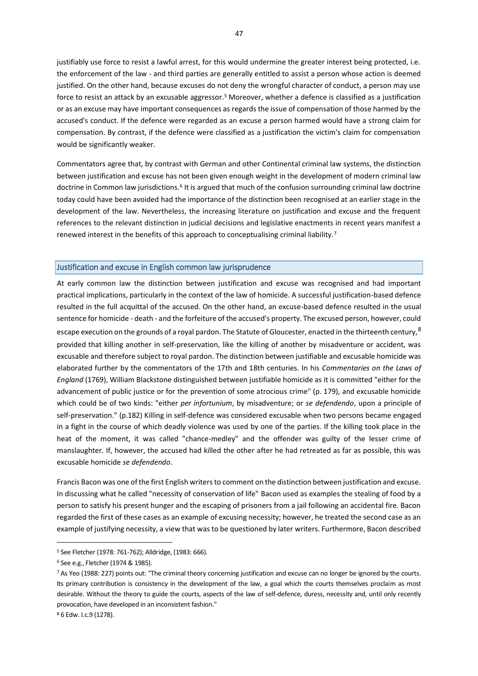justifiably use force to resist a lawful arrest, for this would undermine the greater interest being protected, i.e. the enforcement of the law - and third parties are generally entitled to assist a person whose action is deemed justified. On the other hand, because excuses do not deny the wrongful character of conduct, a person may use force to resist an attack by an excusable aggressor.<sup>5</sup> Moreover, whether a defence is classified as a justification or as an excuse may have important consequences as regards the issue of compensation of those harmed by the accused's conduct. If the defence were regarded as an excuse a person harmed would have a strong claim for compensation. By contrast, if the defence were classified as a justification the victim's claim for compensation would be significantly weaker.

Commentators agree that, by contrast with German and other Continental criminal law systems, the distinction between justification and excuse has not been given enough weight in the development of modern criminal law doctrine in Common law jurisdictions.<sup>6</sup> It is argued that much of the confusion surrounding criminal law doctrine today could have been avoided had the importance of the distinction been recognised at an earlier stage in the development of the law. Nevertheless, the increasing literature on justification and excuse and the frequent references to the relevant distinction in judicial decisions and legislative enactments in recent years manifest a renewed interest in the benefits of this approach to conceptualising criminal liability.<sup>7</sup>

## Justification and excuse in English common law jurisprudence

At early common law the distinction between justification and excuse was recognised and had important practical implications, particularly in the context of the law of homicide. A successful justification-based defence resulted in the full acquittal of the accused. On the other hand, an excuse-based defence resulted in the usual sentence for homicide - death - and the forfeiture of the accused's property. The excused person, however, could escape execution on the grounds of a royal pardon. The Statute of Gloucester, enacted in the thirteenth century,  $8$ provided that killing another in self-preservation, like the killing of another by misadventure or accident, was excusable and therefore subject to royal pardon. The distinction between justifiable and excusable homicide was elaborated further by the commentators of the 17th and 18th centuries. In his *Commentaries on the Laws of England* (1769), William Blackstone distinguished between justifiable homicide as it is committed "either for the advancement of public justice or for the prevention of some atrocious crime" (p. 179), and excusable homicide which could be of two kinds: "either *per infortunium*, by misadventure; or *se defendendo*, upon a principle of self-preservation." (p.182) Killing in self-defence was considered excusable when two persons became engaged in a fight in the course of which deadly violence was used by one of the parties. If the killing took place in the heat of the moment, it was called "chance-medley" and the offender was guilty of the lesser crime of manslaughter. If, however, the accused had killed the other after he had retreated as far as possible, this was excusable homicide *se defendendo*.

Francis Bacon was one of the first English writers to comment on the distinction between justification and excuse. In discussing what he called "necessity of conservation of life" Bacon used as examples the stealing of food by a person to satisfy his present hunger and the escaping of prisoners from a jail following an accidental fire. Bacon regarded the first of these cases as an example of excusing necessity; however, he treated the second case as an example of justifying necessity, a view that was to be questioned by later writers. Furthermore, Bacon described

<sup>5</sup> See Fletcher (1978: 761-762); Alldridge, (1983: 666).

<sup>6</sup> See e.g., Fletcher (1974 & 1985).

<sup>7</sup> As Yeo (1988: 227) points out: "The criminal theory concerning justification and excuse can no longer be ignored by the courts. Its primary contribution is consistency in the development of the law, a goal which the courts themselves proclaim as most desirable. Without the theory to guide the courts, aspects of the law of self-defence, duress, necessity and, until only recently provocation, have developed in an inconsistent fashion."

<sup>8</sup> 6 Edw. I.c.9 (1278).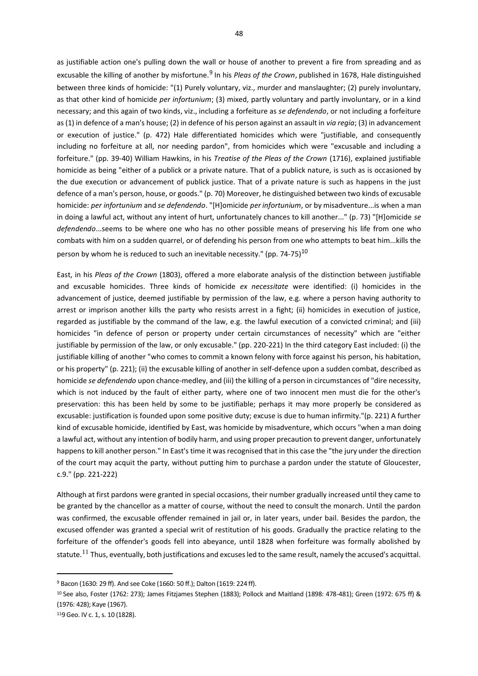as justifiable action one's pulling down the wall or house of another to prevent a fire from spreading and as excusable the killing of another by misfortune.<sup>9</sup> In his *Pleas of the Crown*, published in 1678, Hale distinguished between three kinds of homicide: "(1) Purely voluntary, viz., murder and manslaughter; (2) purely involuntary, as that other kind of homicide *per infortunium*; (3) mixed, partly voluntary and partly involuntary, or in a kind necessary; and this again of two kinds, viz., including a forfeiture as *se defendendo*, or not including a forfeiture as (1) in defence of a man's house; (2) in defence of his person against an assault in *via regia*; (3) in advancement or execution of justice." (p. 472) Hale differentiated homicides which were "justifiable, and consequently including no forfeiture at all, nor needing pardon", from homicides which were "excusable and including a forfeiture." (pp. 39-40) William Hawkins, in his *Treatise of the Pleas of the Crown* (1716), explained justifiable homicide as being "either of a publick or a private nature. That of a publick nature, is such as is occasioned by the due execution or advancement of publick justice. That of a private nature is such as happens in the just defence of a man's person, house, or goods." (p. 70) Moreover, he distinguished between two kinds of excusable homicide: *per infortunium* and *se defendendo*. "[H]omicide *per infortunium*, or by misadventure...is when a man in doing a lawful act, without any intent of hurt, unfortunately chances to kill another..." (p. 73) "[H]omicide *se defendendo*...seems to be where one who has no other possible means of preserving his life from one who combats with him on a sudden quarrel, or of defending his person from one who attempts to beat him...kills the person by whom he is reduced to such an inevitable necessity." (pp. 74-75)<sup>10</sup>

East, in his *Pleas of the Crown* (1803), offered a more elaborate analysis of the distinction between justifiable and excusable homicides. Three kinds of homicide *ex necessitate* were identified: (i) homicides in the advancement of justice, deemed justifiable by permission of the law, e.g. where a person having authority to arrest or imprison another kills the party who resists arrest in a fight; (ii) homicides in execution of justice, regarded as justifiable by the command of the law, e.g. the lawful execution of a convicted criminal; and (iii) homicides "in defence of person or property under certain circumstances of necessity" which are "either justifiable by permission of the law, or only excusable." (pp. 220-221) In the third category East included: (i) the justifiable killing of another "who comes to commit a known felony with force against his person, his habitation, or his property" (p. 221); (ii) the excusable killing of another in self-defence upon a sudden combat, described as homicide *se defendendo* upon chance-medley, and (iii) the killing of a person in circumstances of "dire necessity, which is not induced by the fault of either party, where one of two innocent men must die for the other's preservation: this has been held by some to be justifiable; perhaps it may more properly be considered as excusable: justification is founded upon some positive duty; excuse is due to human infirmity."(p. 221) A further kind of excusable homicide, identified by East, was homicide by misadventure, which occurs "when a man doing a lawful act, without any intention of bodily harm, and using proper precaution to prevent danger, unfortunately happens to kill another person." In East's time it was recognised that in this case the "the jury under the direction of the court may acquit the party, without putting him to purchase a pardon under the statute of Gloucester, c.9." (pp. 221-222)

Although at first pardons were granted in special occasions, their number gradually increased until they came to be granted by the chancellor as a matter of course, without the need to consult the monarch. Until the pardon was confirmed, the excusable offender remained in jail or, in later years, under bail. Besides the pardon, the excused offender was granted a special writ of restitution of his goods. Gradually the practice relating to the forfeiture of the offender's goods fell into abeyance, until 1828 when forfeiture was formally abolished by statute.<sup>11</sup> Thus, eventually, both justifications and excuses led to the same result, namely the accused's acquittal.

<sup>9</sup> Bacon (1630: 29 ff). And see Coke (1660: 50 ff.); Dalton (1619: 224 ff).

<sup>10</sup> See also, Foster (1762: 273); James Fitzjames Stephen (1883); Pollock and Maitland (1898: 478-481); Green (1972: 675 ff) & (1976: 428); Kaye (1967).

<sup>11</sup>9 Geo. IV c. 1, s. 10 (1828).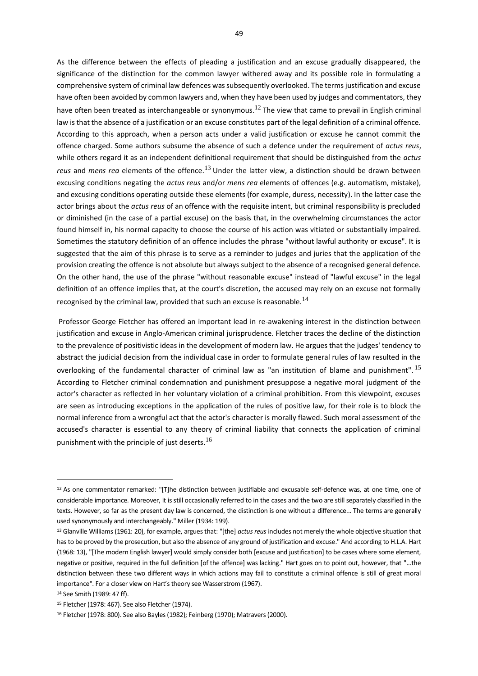As the difference between the effects of pleading a justification and an excuse gradually disappeared, the significance of the distinction for the common lawyer withered away and its possible role in formulating a comprehensive system of criminal law defences was subsequently overlooked. The terms justification and excuse have often been avoided by common lawyers and, when they have been used by judges and commentators, they have often been treated as interchangeable or synonymous.<sup>12</sup> The view that came to prevail in English criminal law is that the absence of a justification or an excuse constitutes part of the legal definition of a criminal offence. According to this approach, when a person acts under a valid justification or excuse he cannot commit the offence charged. Some authors subsume the absence of such a defence under the requirement of *actus reus*, while others regard it as an independent definitional requirement that should be distinguished from the *actus reus* and *mens rea* elements of the offence.<sup>13</sup> Under the latter view, a distinction should be drawn between excusing conditions negating the *actus reus* and/or *mens rea* elements of offences (e.g. automatism, mistake), and excusing conditions operating outside these elements (for example, duress, necessity). In the latter case the actor brings about the *actus reus* of an offence with the requisite intent, but criminal responsibility is precluded or diminished (in the case of a partial excuse) on the basis that, in the overwhelming circumstances the actor found himself in, his normal capacity to choose the course of his action was vitiated or substantially impaired. Sometimes the statutory definition of an offence includes the phrase "without lawful authority or excuse". It is suggested that the aim of this phrase is to serve as a reminder to judges and juries that the application of the provision creating the offence is not absolute but always subject to the absence of a recognised general defence. On the other hand, the use of the phrase "without reasonable excuse" instead of "lawful excuse" in the legal definition of an offence implies that, at the court's discretion, the accused may rely on an excuse not formally recognised by the criminal law, provided that such an excuse is reasonable.<sup>14</sup>

Professor George Fletcher has offered an important lead in re-awakening interest in the distinction between justification and excuse in Anglo-American criminal jurisprudence. Fletcher traces the decline of the distinction to the prevalence of positivistic ideas in the development of modern law. He argues that the judges' tendency to abstract the judicial decision from the individual case in order to formulate general rules of law resulted in the overlooking of the fundamental character of criminal law as "an institution of blame and punishment". <sup>15</sup> According to Fletcher criminal condemnation and punishment presuppose a negative moral judgment of the actor's character as reflected in her voluntary violation of a criminal prohibition. From this viewpoint, excuses are seen as introducing exceptions in the application of the rules of positive law, for their role is to block the normal inference from a wrongful act that the actor's character is morally flawed. Such moral assessment of the accused's character is essential to any theory of criminal liability that connects the application of criminal punishment with the principle of just deserts.<sup>16</sup>

<sup>&</sup>lt;sup>12</sup> As one commentator remarked: "[T]he distinction between justifiable and excusable self-defence was, at one time, one of considerable importance. Moreover, it is still occasionally referred to in the cases and the two are still separately classified in the texts. However, so far as the present day law is concerned, the distinction is one without a difference... The terms are generally used synonymously and interchangeably." Miller (1934: 199).

<sup>13</sup> Glanville Williams (1961: 20), for example, argues that: "[the] *actus reus* includes not merely the whole objective situation that has to be proved by the prosecution, but also the absence of any ground of justification and excuse." And according to H.L.A. Hart (1968: 13), "[The modern English lawyer] would simply consider both [excuse and justification] to be cases where some element, negative or positive, required in the full definition [of the offence] was lacking." Hart goes on to point out, however, that "...the distinction between these two different ways in which actions may fail to constitute a criminal offence is still of great moral importance". For a closer view on Hart's theory see Wasserstrom (1967).

<sup>14</sup> See Smith (1989: 47 ff).

<sup>15</sup> Fletcher (1978: 467). See also Fletcher (1974).

<sup>16</sup> Fletcher (1978: 800). See also Bayles (1982); Feinberg (1970); Matravers (2000).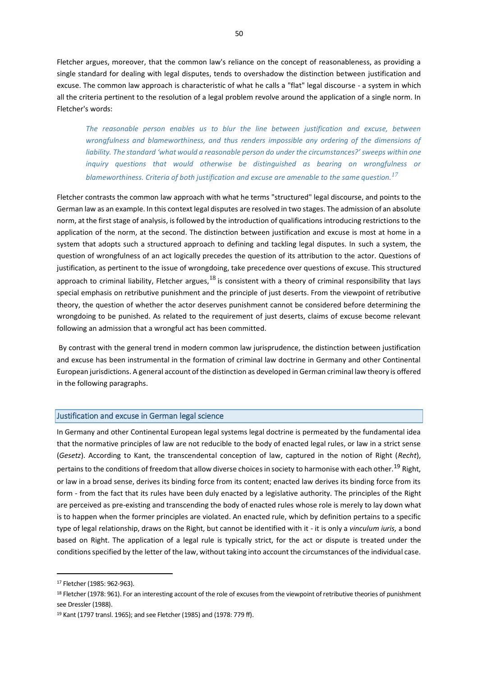Fletcher argues, moreover, that the common law's reliance on the concept of reasonableness, as providing a single standard for dealing with legal disputes, tends to overshadow the distinction between justification and excuse. The common law approach is characteristic of what he calls a "flat" legal discourse - a system in which all the criteria pertinent to the resolution of a legal problem revolve around the application of a single norm. In Fletcher's words:

The reasonable person enables us to blur the line between justification and excuse, between *wrongfulness and blameworthiness, and thus renders impossible any ordering of the dimensions of liability. The standard 'what would a reasonable person do under the circumstances?' sweeps within one inquiry questions that would otherwise be distinguished as bearing on wrongfulness or blameworthiness. Criteria of both justification and excuse are amenable to the same question.<sup>17</sup>*

Fletcher contrasts the common law approach with what he terms "structured" legal discourse, and points to the German law as an example. In this context legal disputes are resolved in two stages. The admission of an absolute norm, at the first stage of analysis, is followed by the introduction of qualifications introducing restrictions to the application of the norm, at the second. The distinction between justification and excuse is most at home in a system that adopts such a structured approach to defining and tackling legal disputes. In such a system, the question of wrongfulness of an act logically precedes the question of its attribution to the actor. Questions of justification, as pertinent to the issue of wrongdoing, take precedence over questions of excuse. This structured approach to criminal liability, Fletcher argues,  $18$  is consistent with a theory of criminal responsibility that lays special emphasis on retributive punishment and the principle of just deserts. From the viewpoint of retributive theory, the question of whether the actor deserves punishment cannot be considered before determining the wrongdoing to be punished. As related to the requirement of just deserts, claims of excuse become relevant following an admission that a wrongful act has been committed.

By contrast with the general trend in modern common law jurisprudence, the distinction between justification and excuse has been instrumental in the formation of criminal law doctrine in Germany and other Continental European jurisdictions. A general account of the distinction as developed in German criminal law theory is offered in the following paragraphs.

# Justification and excuse in German legal science

In Germany and other Continental European legal systems legal doctrine is permeated by the fundamental idea that the normative principles of law are not reducible to the body of enacted legal rules, or law in a strict sense (*Gesetz*). According to Kant, the transcendental conception of law, captured in the notion of Right (*Recht*), pertains to the conditions of freedom that allow diverse choices in society to harmonise with each other.<sup>19</sup> Right, or law in a broad sense, derives its binding force from its content; enacted law derives its binding force from its form - from the fact that its rules have been duly enacted by a legislative authority. The principles of the Right are perceived as pre-existing and transcending the body of enacted rules whose role is merely to lay down what is to happen when the former principles are violated. An enacted rule, which by definition pertains to a specific type of legal relationship, draws on the Right, but cannot be identified with it - it is only a *vinculum iuris,* a bond based on Right. The application of a legal rule is typically strict, for the act or dispute is treated under the conditions specified by the letter of the law, without taking into account the circumstances of the individual case.

<sup>17</sup> Fletcher (1985: 962-963).

<sup>&</sup>lt;sup>18</sup> Fletcher (1978: 961). For an interesting account of the role of excuses from the viewpoint of retributive theories of punishment see Dressler (1988).

<sup>19</sup> Kant (1797 transl. 1965); and see Fletcher (1985) and (1978: 779 ff).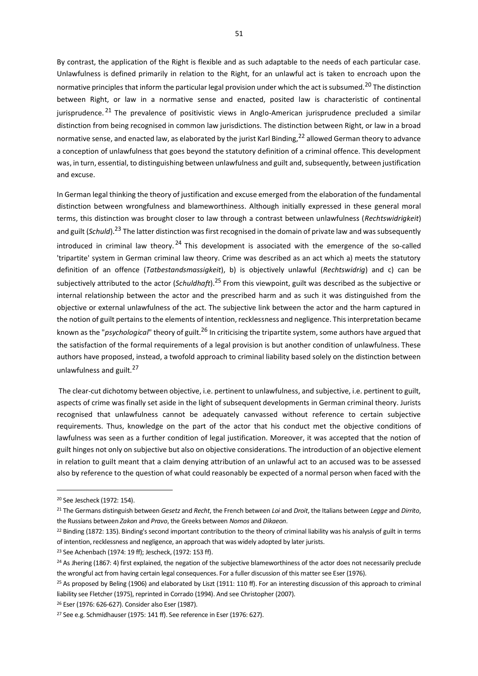By contrast, the application of the Right is flexible and as such adaptable to the needs of each particular case. Unlawfulness is defined primarily in relation to the Right, for an unlawful act is taken to encroach upon the normative principles that inform the particular legal provision under which the act is subsumed.<sup>20</sup> The distinction between Right, or law in a normative sense and enacted, posited law is characteristic of continental iurisprudence.<sup>21</sup> The prevalence of positivistic views in Anglo-American jurisprudence precluded a similar distinction from being recognised in common law jurisdictions. The distinction between Right, or law in a broad normative sense, and enacted law, as elaborated by the jurist Karl Binding, <sup>22</sup> allowed German theory to advance a conception of unlawfulness that goes beyond the statutory definition of a criminal offence. This development was, in turn, essential, to distinguishing between unlawfulness and guilt and, subsequently, between justification and excuse.

In German legal thinking the theory of justification and excuse emerged from the elaboration of the fundamental distinction between wrongfulness and blameworthiness. Although initially expressed in these general moral terms, this distinction was brought closer to law through a contrast between unlawfulness (*Rechtswidrigkeit*) and guilt (*Schuld*).<sup>23</sup> The latter distinction was first recognised in the domain of private law and was subsequently introduced in criminal law theory.<sup>24</sup> This development is associated with the emergence of the so-called 'tripartite' system in German criminal law theory. Crime was described as an act which a) meets the statutory definition of an offence (*Tatbestandsmassigkeit*), b) is objectively unlawful (*Rechtswidrig*) and c) can be subjectively attributed to the actor (*Schuldhaft*).<sup>25</sup> From this viewpoint, guilt was described as the subjective or internal relationship between the actor and the prescribed harm and as such it was distinguished from the objective or external unlawfulness of the act. The subjective link between the actor and the harm captured in the notion of guilt pertains to the elements of intention, recklessness and negligence. This interpretation became known as the "*psychological*" theory of guilt.<sup>26</sup> In criticising the tripartite system, some authors have argued that the satisfaction of the formal requirements of a legal provision is but another condition of unlawfulness. These authors have proposed, instead, a twofold approach to criminal liability based solely on the distinction between unlawfulness and guilt.<sup>27</sup>

The clear-cut dichotomy between objective, i.e. pertinent to unlawfulness, and subjective, i.e. pertinent to guilt, aspects of crime was finally set aside in the light of subsequent developments in German criminal theory. Jurists recognised that unlawfulness cannot be adequately canvassed without reference to certain subjective requirements. Thus, knowledge on the part of the actor that his conduct met the objective conditions of lawfulness was seen as a further condition of legal justification. Moreover, it was accepted that the notion of guilt hinges not only on subjective but also on objective considerations. The introduction of an objective element in relation to guilt meant that a claim denying attribution of an unlawful act to an accused was to be assessed also by reference to the question of what could reasonably be expected of a normal person when faced with the

l

<sup>20</sup> See Jescheck (1972: 154).

<sup>21</sup> The Germans distinguish between *Gesetz* and *Recht*, the French between *Loi* and *Droit*, the Italians between *Legge* and *Dirrito*, the Russians between *Zakon* and *Pravo*, the Greeks between *Nomos* and *Dikaeon*.

<sup>&</sup>lt;sup>22</sup> Binding (1872: 135). Binding's second important contribution to the theory of criminal liability was his analysis of guilt in terms of intention, recklessness and negligence, an approach that was widely adopted by later jurists.

<sup>23</sup> See Achenbach (1974: 19 ff); Jescheck, (1972: 153 ff).

 $24$  As Jhering (1867: 4) first explained, the negation of the subjective blameworthiness of the actor does not necessarily preclude the wrongful act from having certain legal consequences. For a fuller discussion of this matter see Eser (1976).

<sup>&</sup>lt;sup>25</sup> As proposed by Beling (1906) and elaborated by Liszt (1911: 110 ff). For an interesting discussion of this approach to criminal liability see Fletcher (1975), reprinted in Corrado (1994). And see Christopher (2007).

<sup>26</sup> Eser (1976: 626-627). Consider also Eser (1987).

<sup>27</sup> See e.g. Schmidhauser (1975: 141 ff). See reference in Eser (1976: 627).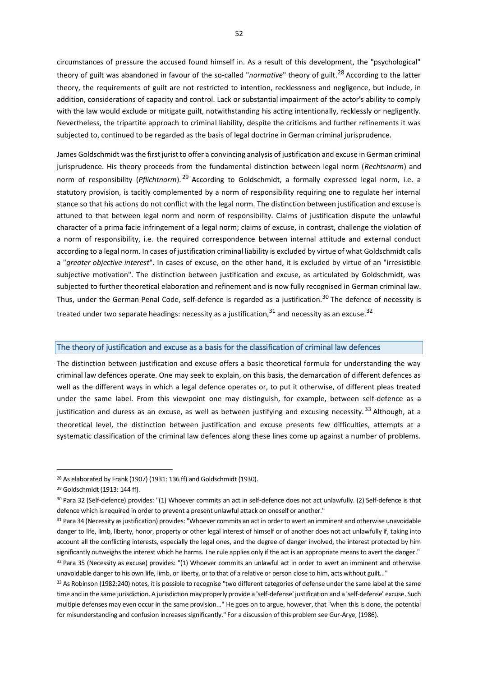circumstances of pressure the accused found himself in. As a result of this development, the "psychological" theory of guilt was abandoned in favour of the so-called "*normative*" theory of guilt.<sup>28</sup> According to the latter theory, the requirements of guilt are not restricted to intention, recklessness and negligence, but include, in addition, considerations of capacity and control. Lack or substantial impairment of the actor's ability to comply with the law would exclude or mitigate guilt, notwithstanding his acting intentionally, recklessly or negligently. Nevertheless, the tripartite approach to criminal liability, despite the criticisms and further refinements it was subjected to, continued to be regarded as the basis of legal doctrine in German criminal jurisprudence.

James Goldschmidt was the first jurist to offer a convincing analysis of justification and excuse in German criminal jurisprudence. His theory proceeds from the fundamental distinction between legal norm (*Rechtsnorm*) and norm of responsibility (*Pflichtnorm*). <sup>29</sup> According to Goldschmidt, a formally expressed legal norm, i.e. a statutory provision, is tacitly complemented by a norm of responsibility requiring one to regulate her internal stance so that his actions do not conflict with the legal norm. The distinction between justification and excuse is attuned to that between legal norm and norm of responsibility. Claims of justification dispute the unlawful character of a prima facie infringement of a legal norm; claims of excuse, in contrast, challenge the violation of a norm of responsibility, i.e. the required correspondence between internal attitude and external conduct according to a legal norm. In cases of justification criminal liability is excluded by virtue of what Goldschmidt calls a "*greater objective interest*". In cases of excuse, on the other hand, it is excluded by virtue of an "irresistible subjective motivation". The distinction between justification and excuse, as articulated by Goldschmidt, was subjected to further theoretical elaboration and refinement and is now fully recognised in German criminal law. Thus, under the German Penal Code, self-defence is regarded as a justification.<sup>30</sup> The defence of necessity is treated under two separate headings: necessity as a justification,  $31$  and necessity as an excuse.  $32$ 

## The theory of justification and excuse as a basis for the classification of criminal law defences

The distinction between justification and excuse offers a basic theoretical formula for understanding the way criminal law defences operate. One may seek to explain, on this basis, the demarcation of different defences as well as the different ways in which a legal defence operates or, to put it otherwise, of different pleas treated under the same label. From this viewpoint one may distinguish, for example, between self-defence as a justification and duress as an excuse, as well as between justifying and excusing necessity.<sup>33</sup> Although, at a theoretical level, the distinction between justification and excuse presents few difficulties, attempts at a systematic classification of the criminal law defences along these lines come up against a number of problems.

<sup>28</sup> As elaborated by Frank (1907) (1931: 136 ff) and Goldschmidt (1930).

<sup>29</sup> Goldschmidt (1913: 144 ff).

<sup>&</sup>lt;sup>30</sup> Para 32 (Self-defence) provides: "(1) Whoever commits an act in self-defence does not act unlawfully. (2) Self-defence is that defence which is required in order to prevent a present unlawful attack on oneself or another."

<sup>&</sup>lt;sup>31</sup> Para 34 (Necessity as justification) provides: "Whoever commits an act in order to avert an imminent and otherwise unavoidable danger to life, limb, liberty, honor, property or other legal interest of himself or of another does not act unlawfully if, taking into account all the conflicting interests, especially the legal ones, and the degree of danger involved, the interest protected by him significantly outweighs the interest which he harms. The rule applies only if the act is an appropriate means to avert the danger."  $32$  Para 35 (Necessity as excuse) provides: "(1) Whoever commits an unlawful act in order to avert an imminent and otherwise unavoidable danger to his own life, limb, or liberty, or to that of a relative or person close to him, acts without guilt..."

<sup>33</sup> As Robinson (1982:240) notes, it is possible to recognise "two different categories of defense under the same label at the same time and in the same jurisdiction. A jurisdiction may properly provide a 'self-defense' justification and a 'self-defense' excuse. Such multiple defenses may even occur in the same provision..." He goes on to argue, however, that "when this is done, the potential for misunderstanding and confusion increases significantly." For a discussion of this problem see Gur-Arye, (1986).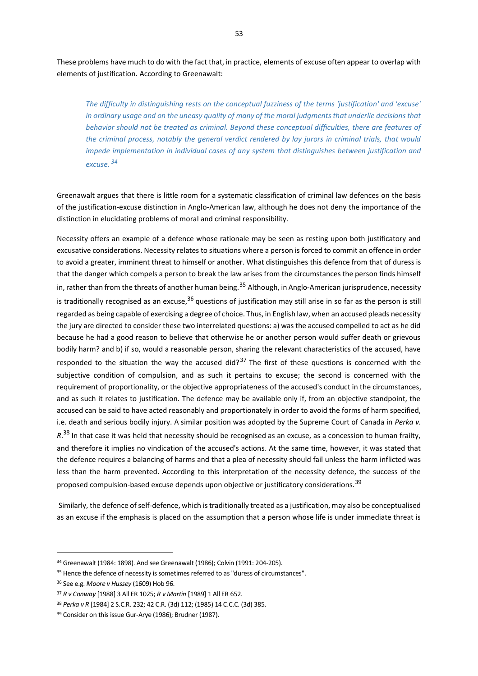These problems have much to do with the fact that, in practice, elements of excuse often appear to overlap with elements of justification. According to Greenawalt:

*The difficulty in distinguishing rests on the conceptual fuzziness of the terms 'justification' and 'excuse' in ordinary usage and on the uneasy quality of many of the moral judgments that underlie decisions that behavior should not be treated as criminal. Beyond these conceptual difficulties, there are features of the criminal process, notably the general verdict rendered by lay jurors in criminal trials, that would impede implementation in individual cases of any system that distinguishes between justification and excuse. <sup>34</sup>*

Greenawalt argues that there is little room for a systematic classification of criminal law defences on the basis of the justification-excuse distinction in Anglo-American law, although he does not deny the importance of the distinction in elucidating problems of moral and criminal responsibility.

Necessity offers an example of a defence whose rationale may be seen as resting upon both justificatory and excusative considerations. Necessity relates to situations where a person is forced to commit an offence in order to avoid a greater, imminent threat to himself or another. What distinguishes this defence from that of duress is that the danger which compels a person to break the law arises from the circumstances the person finds himself in, rather than from the threats of another human being.<sup>35</sup> Although, in Anglo-American jurisprudence, necessity is traditionally recognised as an excuse,  $36$  questions of justification may still arise in so far as the person is still regarded as being capable of exercising a degree of choice. Thus, in English law, when an accused pleads necessity the jury are directed to consider these two interrelated questions: a) was the accused compelled to act as he did because he had a good reason to believe that otherwise he or another person would suffer death or grievous bodily harm? and b) if so, would a reasonable person, sharing the relevant characteristics of the accused, have responded to the situation the way the accused did?<sup>37</sup> The first of these questions is concerned with the subjective condition of compulsion, and as such it pertains to excuse; the second is concerned with the requirement of proportionality, or the objective appropriateness of the accused's conduct in the circumstances, and as such it relates to justification. The defence may be available only if, from an objective standpoint, the accused can be said to have acted reasonably and proportionately in order to avoid the forms of harm specified, i.e. death and serious bodily injury. A similar position was adopted by the Supreme Court of Canada in *Perka v.*  R.<sup>38</sup> In that case it was held that necessity should be recognised as an excuse, as a concession to human frailty, and therefore it implies no vindication of the accused's actions. At the same time, however, it was stated that the defence requires a balancing of harms and that a plea of necessity should fail unless the harm inflicted was less than the harm prevented. According to this interpretation of the necessity defence, the success of the proposed compulsion-based excuse depends upon objective or justificatory considerations.<sup>39</sup>

Similarly, the defence of self-defence, which is traditionally treated as a justification, may also be conceptualised as an excuse if the emphasis is placed on the assumption that a person whose life is under immediate threat is

l

<sup>34</sup> Greenawalt (1984: 1898). And see Greenawalt (1986); Colvin (1991: 204-205).

<sup>&</sup>lt;sup>35</sup> Hence the defence of necessity is sometimes referred to as "duress of circumstances".

<sup>36</sup> See e.g. *Moore v Hussey* (1609) Hob 96.

<sup>37</sup> *R v Conway* [1988] 3 All ER 1025; *R v Martin* [1989] 1 All ER 652.

<sup>38</sup> *Perka v R* [1984] 2 S.C.R. 232; 42 C.R. (3d) 112; (1985) 14 C.C.C. (3d) 385.

<sup>39</sup> Consider on this issue Gur-Arye (1986); Brudner (1987).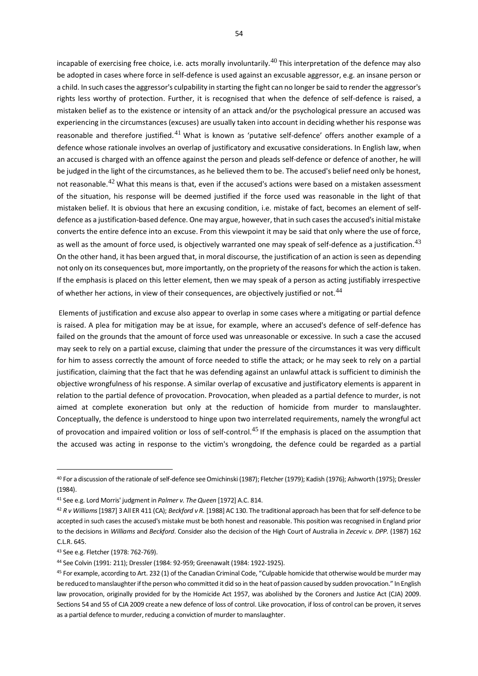incapable of exercising free choice, i.e. acts morally involuntarily.<sup>40</sup> This interpretation of the defence may also be adopted in cases where force in self-defence is used against an excusable aggressor, e.g. an insane person or a child. In such cases the aggressor's culpability in starting the fight can no longer be said to render the aggressor's rights less worthy of protection. Further, it is recognised that when the defence of self-defence is raised, a mistaken belief as to the existence or intensity of an attack and/or the psychological pressure an accused was experiencing in the circumstances (excuses) are usually taken into account in deciding whether his response was reasonable and therefore justified.<sup>41</sup> What is known as 'putative self-defence' offers another example of a defence whose rationale involves an overlap of justificatory and excusative considerations. In English law, when an accused is charged with an offence against the person and pleads self-defence or defence of another, he will be judged in the light of the circumstances, as he believed them to be. The accused's belief need only be honest, not reasonable.<sup>42</sup> What this means is that, even if the accused's actions were based on a mistaken assessment of the situation, his response will be deemed justified if the force used was reasonable in the light of that mistaken belief. It is obvious that here an excusing condition, i.e. mistake of fact, becomes an element of selfdefence as a justification-based defence. One may argue, however, that in such cases the accused's initial mistake converts the entire defence into an excuse. From this viewpoint it may be said that only where the use of force, as well as the amount of force used, is objectively warranted one may speak of self-defence as a justification. $^{43}$ On the other hand, it has been argued that, in moral discourse, the justification of an action is seen as depending not only on its consequences but, more importantly, on the propriety of the reasons for which the action is taken. If the emphasis is placed on this letter element, then we may speak of a person as acting justifiably irrespective of whether her actions, in view of their consequences, are objectively justified or not.<sup>44</sup>

Elements of justification and excuse also appear to overlap in some cases where a mitigating or partial defence is raised. A plea for mitigation may be at issue, for example, where an accused's defence of self-defence has failed on the grounds that the amount of force used was unreasonable or excessive. In such a case the accused may seek to rely on a partial excuse, claiming that under the pressure of the circumstances it was very difficult for him to assess correctly the amount of force needed to stifle the attack; or he may seek to rely on a partial justification, claiming that the fact that he was defending against an unlawful attack is sufficient to diminish the objective wrongfulness of his response. A similar overlap of excusative and justificatory elements is apparent in relation to the partial defence of provocation. Provocation, when pleaded as a partial defence to murder, is not aimed at complete exoneration but only at the reduction of homicide from murder to manslaughter. Conceptually, the defence is understood to hinge upon two interrelated requirements, namely the wrongful act of provocation and impaired volition or loss of self-control.<sup>45</sup> If the emphasis is placed on the assumption that the accused was acting in response to the victim's wrongdoing, the defence could be regarded as a partial

<sup>40</sup> For a discussion of the rationale of self-defence see Omichinski (1987); Fletcher (1979); Kadish (1976); Ashworth (1975); Dressler (1984).

<sup>41</sup> See e.g. Lord Morris' judgment in *Palmer v. The Queen* [1972] A.C. 814.

<sup>42</sup> *R v Williams* [1987] 3 All ER 411 (CA); *Beckford v R.* [1988] AC 130. The traditional approach has been that for self-defence to be accepted in such cases the accused's mistake must be both honest and reasonable. This position was recognised in England prior to the decisions in *Williams* and *Beckford*. Consider also the decision of the High Court of Australia in *Zecevic v. DPP.* (1987) 162 C.L.R. 645.

<sup>43</sup> See e.g. Fletcher (1978: 762-769).

<sup>44</sup> See Colvin (1991: 211); Dressler (1984: 92-959; Greenawalt (1984: 1922-1925).

<sup>45</sup> For example, according to Art. 232 (1) of the Canadian Criminal Code, "Culpable homicide that otherwise would be murder may be reduced to manslaughter if the person who committed it did so in the heat of passion caused by sudden provocation." In English law provocation, originally provided for by the Homicide Act 1957, was abolished by the Coroners and Justice Act (CJA) 2009. Sections 54 and 55 of CJA 2009 create a new defence of loss of control. Like provocation, if loss of control can be proven, it serves as a partial defence to murder, reducing a conviction of murder to manslaughter.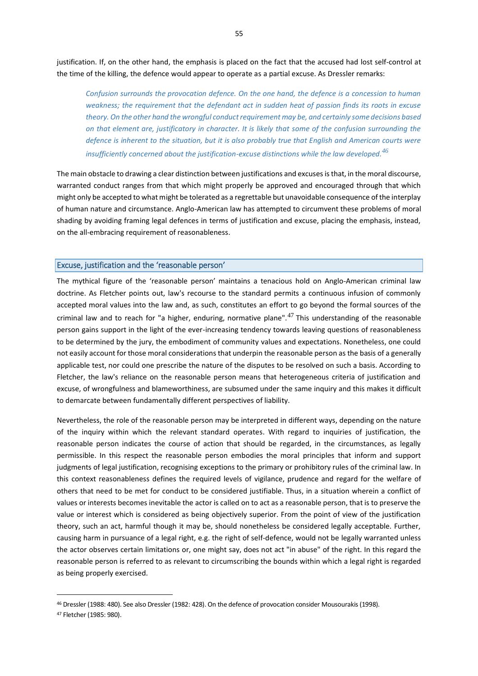justification. If, on the other hand, the emphasis is placed on the fact that the accused had lost self-control at the time of the killing, the defence would appear to operate as a partial excuse. As Dressler remarks:

*Confusion surrounds the provocation defence. On the one hand, the defence is a concession to human weakness; the requirement that the defendant act in sudden heat of passion finds its roots in excuse theory. On the other hand the wrongful conduct requirement may be, and certainly some decisions based on that element are, justificatory in character. It is likely that some of the confusion surrounding the defence is inherent to the situation, but it is also probably true that English and American courts were insufficiently concerned about the justification-excuse distinctions while the law developed.<sup>46</sup>*

The main obstacle to drawing a clear distinction between justifications and excuses is that, in the moral discourse, warranted conduct ranges from that which might properly be approved and encouraged through that which might only be accepted to what might be tolerated as a regrettable but unavoidable consequence of the interplay of human nature and circumstance. Anglo-American law has attempted to circumvent these problems of moral shading by avoiding framing legal defences in terms of justification and excuse, placing the emphasis, instead, on the all-embracing requirement of reasonableness.

# Excuse, justification and the 'reasonable person'

The mythical figure of the 'reasonable person' maintains a tenacious hold on Anglo-American criminal law doctrine. As Fletcher points out, law's recourse to the standard permits a continuous infusion of commonly accepted moral values into the law and, as such, constitutes an effort to go beyond the formal sources of the criminal law and to reach for "a higher, enduring, normative plane".<sup>47</sup> This understanding of the reasonable person gains support in the light of the ever-increasing tendency towards leaving questions of reasonableness to be determined by the jury, the embodiment of community values and expectations. Nonetheless, one could not easily account for those moral considerations that underpin the reasonable person as the basis of a generally applicable test, nor could one prescribe the nature of the disputes to be resolved on such a basis. According to Fletcher, the law's reliance on the reasonable person means that heterogeneous criteria of justification and excuse, of wrongfulness and blameworthiness, are subsumed under the same inquiry and this makes it difficult to demarcate between fundamentally different perspectives of liability.

Nevertheless, the role of the reasonable person may be interpreted in different ways, depending on the nature of the inquiry within which the relevant standard operates. With regard to inquiries of justification, the reasonable person indicates the course of action that should be regarded, in the circumstances, as legally permissible. In this respect the reasonable person embodies the moral principles that inform and support judgments of legal justification, recognising exceptions to the primary or prohibitory rules of the criminal law. In this context reasonableness defines the required levels of vigilance, prudence and regard for the welfare of others that need to be met for conduct to be considered justifiable. Thus, in a situation wherein a conflict of values or interests becomes inevitable the actor is called on to act as a reasonable person, that is to preserve the value or interest which is considered as being objectively superior. From the point of view of the justification theory, such an act, harmful though it may be, should nonetheless be considered legally acceptable. Further, causing harm in pursuance of a legal right, e.g. the right of self-defence, would not be legally warranted unless the actor observes certain limitations or, one might say, does not act "in abuse" of the right. In this regard the reasonable person is referred to as relevant to circumscribing the bounds within which a legal right is regarded as being properly exercised.

l

<sup>46</sup> Dressler (1988: 480). See also Dressler (1982: 428). On the defence of provocation consider Mousourakis (1998).

<sup>47</sup> Fletcher (1985: 980).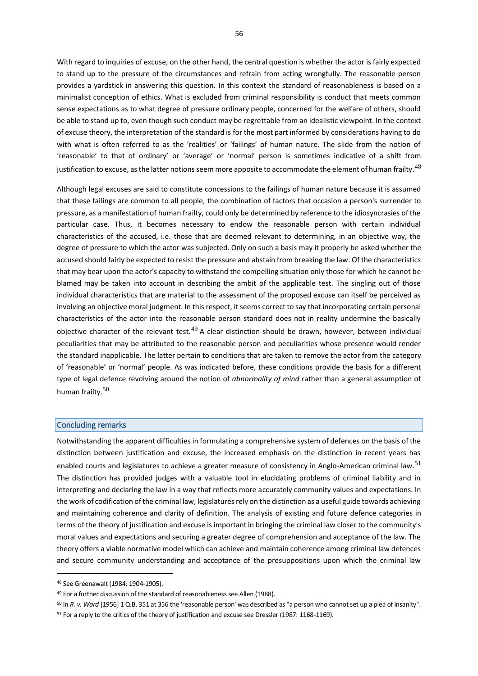With regard to inquiries of excuse, on the other hand, the central question is whether the actor is fairly expected to stand up to the pressure of the circumstances and refrain from acting wrongfully. The reasonable person provides a yardstick in answering this question. In this context the standard of reasonableness is based on a minimalist conception of ethics. What is excluded from criminal responsibility is conduct that meets common sense expectations as to what degree of pressure ordinary people, concerned for the welfare of others, should be able to stand up to, even though such conduct may be regrettable from an idealistic viewpoint. In the context of excuse theory, the interpretation of the standard is for the most part informed by considerations having to do with what is often referred to as the 'realities' or 'failings' of human nature. The slide from the notion of 'reasonable' to that of ordinary' or 'average' or 'normal' person is sometimes indicative of a shift from justification to excuse, as the latter notions seem more apposite to accommodate the element of human frailty.<sup>48</sup>

Although legal excuses are said to constitute concessions to the failings of human nature because it is assumed that these failings are common to all people, the combination of factors that occasion a person's surrender to pressure, as a manifestation of human frailty, could only be determined by reference to the idiosyncrasies of the particular case. Thus, it becomes necessary to endow the reasonable person with certain individual characteristics of the accused, i.e. those that are deemed relevant to determining, in an objective way, the degree of pressure to which the actor was subjected. Only on such a basis may it properly be asked whether the accused should fairly be expected to resist the pressure and abstain from breaking the law. Of the characteristics that may bear upon the actor's capacity to withstand the compelling situation only those for which he cannot be blamed may be taken into account in describing the ambit of the applicable test. The singling out of those individual characteristics that are material to the assessment of the proposed excuse can itself be perceived as involving an objective moral judgment. In this respect, it seems correct to say that incorporating certain personal characteristics of the actor into the reasonable person standard does not in reality undermine the basically objective character of the relevant test.<sup>49</sup> A clear distinction should be drawn, however, between individual peculiarities that may be attributed to the reasonable person and peculiarities whose presence would render the standard inapplicable. The latter pertain to conditions that are taken to remove the actor from the category of 'reasonable' or 'normal' people. As was indicated before, these conditions provide the basis for a different type of legal defence revolving around the notion of *abnormality of mind* rather than a general assumption of human frailty.<sup>50</sup>

#### Concluding remarks

Notwithstanding the apparent difficulties in formulating a comprehensive system of defences on the basis of the distinction between justification and excuse, the increased emphasis on the distinction in recent years has enabled courts and legislatures to achieve a greater measure of consistency in Anglo-American criminal law.<sup>51</sup> The distinction has provided judges with a valuable tool in elucidating problems of criminal liability and in interpreting and declaring the law in a way that reflects more accurately community values and expectations. In the work of codification of the criminal law, legislatures rely on the distinction as a useful guide towards achieving and maintaining coherence and clarity of definition. The analysis of existing and future defence categories in terms of the theory of justification and excuse is important in bringing the criminal law closer to the community's moral values and expectations and securing a greater degree of comprehension and acceptance of the law. The theory offers a viable normative model which can achieve and maintain coherence among criminal law defences and secure community understanding and acceptance of the presuppositions upon which the criminal law

<sup>48</sup> See Greenawalt (1984: 1904-1905).

<sup>49</sup> For a further discussion of the standard of reasonableness see Allen (1988).

<sup>50</sup> In *R. v. Ward* [1956] 1 Q.B. 351 at 356 the 'reasonable person' was described as "a person who cannot set up a plea of insanity".

<sup>51</sup> For a reply to the critics of the theory of justification and excuse see Dressler (1987: 1168-1169).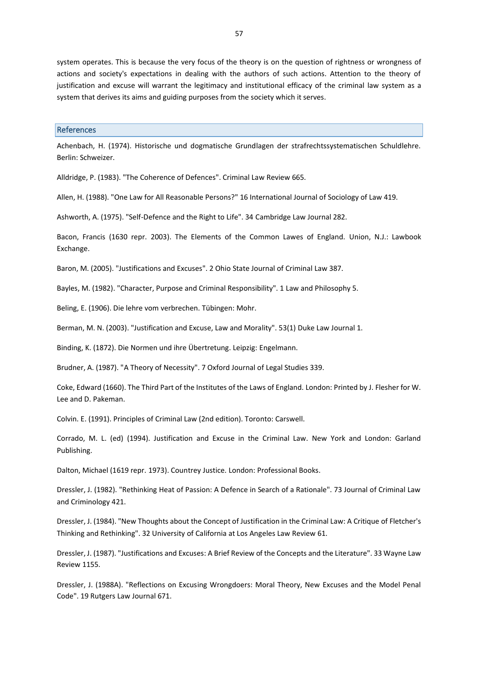system operates. This is because the very focus of the theory is on the question of rightness or wrongness of actions and society's expectations in dealing with the authors of such actions. Attention to the theory of justification and excuse will warrant the legitimacy and institutional efficacy of the criminal law system as a system that derives its aims and guiding purposes from the society which it serves.

#### References

Achenbach, H. (1974). Historische und dogmatische Grundlagen der strafrechtssystematischen Schuldlehre. Berlin: Schweizer.

Alldridge, P. (1983). "The Coherence of Defences". Criminal Law Review 665.

Allen, H. (1988). "One Law for All Reasonable Persons?" 16 International Journal of Sociology of Law 419.

Ashworth, A. (1975). "Self-Defence and the Right to Life". 34 Cambridge Law Journal 282.

Bacon, Francis (1630 repr. 2003). The Elements of the Common Lawes of England. Union, N.J.: Lawbook Exchange.

Baron, M. (2005). "Justifications and Excuses". 2 Ohio State Journal of Criminal Law 387.

Bayles, M. (1982). "Character, Purpose and Criminal Responsibility". 1 Law and Philosophy 5.

Beling, E. (1906). Die lehre vom verbrechen. Tübingen: Mohr.

Berman, M. N. (2003). "Justification and Excuse, Law and Morality". 53(1) Duke Law Journal 1.

Binding, K. (1872). Die Normen und ihre Übertretung. Leipzig: Engelmann.

Brudner, A. (1987). "A Theory of Necessity". 7 Oxford Journal of Legal Studies 339.

Coke, Edward (1660). The Third Part of the Institutes of the Laws of England. London: Printed by J. Flesher for W. Lee and D. Pakeman.

Colvin. E. (1991). Principles of Criminal Law (2nd edition). Toronto: Carswell.

Corrado, M. L. (ed) (1994). Justification and Excuse in the Criminal Law. New York and London: Garland Publishing.

Dalton, Michael (1619 repr. 1973). Countrey Justice. London: Professional Books.

Dressler, J. (1982). "Rethinking Heat of Passion: A Defence in Search of a Rationale". 73 Journal of Criminal Law and Criminology 421.

Dressler, J. (1984). "New Thoughts about the Concept of Justification in the Criminal Law: A Critique of Fletcher's Thinking and Rethinking". 32 University of California at Los Angeles Law Review 61.

Dressler, J. (1987). "Justifications and Excuses: A Brief Review of the Concepts and the Literature". 33 Wayne Law Review 1155.

Dressler, J. (1988A). "Reflections on Excusing Wrongdoers: Moral Theory, New Excuses and the Model Penal Code". 19 Rutgers Law Journal 671.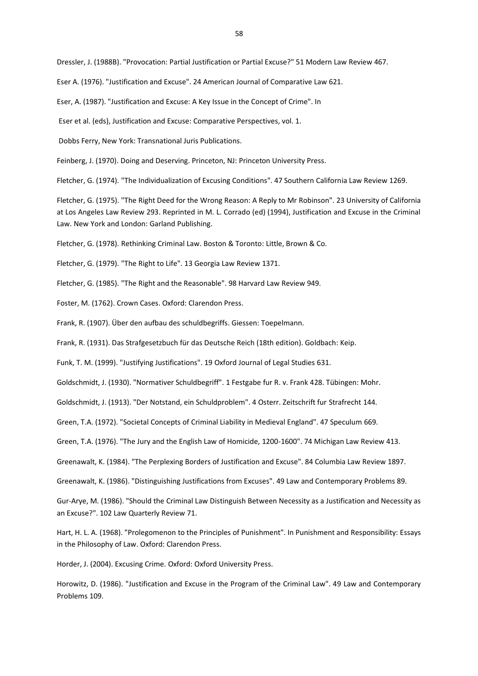Dressler, J. (1988B). "Provocation: Partial Justification or Partial Excuse?" 51 Modern Law Review 467.

Eser A. (1976). "Justification and Excuse". 24 American Journal of Comparative Law 621.

Eser, A. (1987). "Justification and Excuse: A Key Issue in the Concept of Crime". In

Eser et al. (eds), Justification and Excuse: Comparative Perspectives, vol. 1.

Dobbs Ferry, New York: Transnational Juris Publications.

Feinberg, J. (1970). Doing and Deserving. Princeton, NJ: Princeton University Press.

Fletcher, G. (1974). "The Individualization of Excusing Conditions". 47 Southern California Law Review 1269.

Fletcher, G. (1975). "The Right Deed for the Wrong Reason: A Reply to Mr Robinson". 23 University of California at Los Angeles Law Review 293. Reprinted in M. L. Corrado (ed) (1994), Justification and Excuse in the Criminal Law. New York and London: Garland Publishing.

Fletcher, G. (1978). Rethinking Criminal Law. Boston & Toronto: Little, Brown & Co.

Fletcher, G. (1979). "The Right to Life". 13 Georgia Law Review 1371.

Fletcher, G. (1985). "The Right and the Reasonable". 98 Harvard Law Review 949.

Foster, M. (1762). Crown Cases. Oxford: Clarendon Press.

Frank, R. (1907). Über den aufbau des schuldbegriffs. Giessen: Toepelmann.

Frank, R. (1931). Das Strafgesetzbuch für das Deutsche Reich (18th edition). Goldbach: Keip.

Funk, T. M. (1999). "Justifying Justifications". 19 Oxford Journal of Legal Studies 631.

Goldschmidt, J. (1930). "Normativer Schuldbegriff". 1 Festgabe fur R. v. Frank 428. Tübingen: Mohr.

Goldschmidt, J. (1913). "Der Notstand, ein Schuldproblem". 4 Osterr. Zeitschrift fur Strafrecht 144.

Green, T.A. (1972). "Societal Concepts of Criminal Liability in Medieval England". 47 Speculum 669.

Green, T.A. (1976). "The Jury and the English Law of Homicide, 1200-1600". 74 Michigan Law Review 413.

Greenawalt, K. (1984). "The Perplexing Borders of Justification and Excuse". 84 Columbia Law Review 1897.

Greenawalt, K. (1986). "Distinguishing Justifications from Excuses". 49 Law and Contemporary Problems 89.

Gur-Arye, M. (1986). "Should the Criminal Law Distinguish Between Necessity as a Justification and Necessity as an Excuse?". 102 Law Quarterly Review 71.

Hart, H. L. A. (1968). "Prolegomenon to the Principles of Punishment". In Punishment and Responsibility: Essays in the Philosophy of Law. Oxford: Clarendon Press.

Horder, J. (2004). Excusing Crime. Oxford: Oxford University Press.

Horowitz, D. (1986). "Justification and Excuse in the Program of the Criminal Law". 49 Law and Contemporary Problems 109.